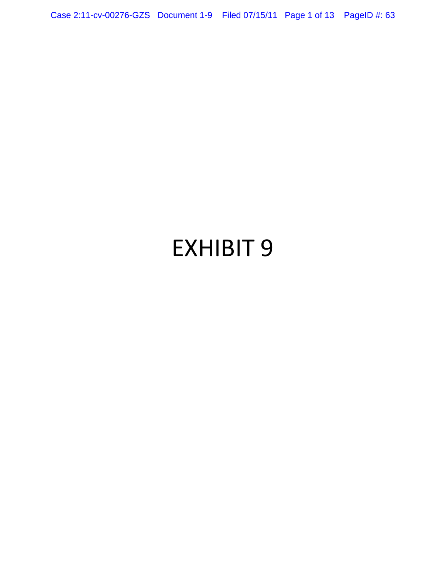Case 2:11-cv-00276-GZS Document 1-9 Filed 07/15/11 Page 1 of 13 PageID #: 63

# EXHIBIT 9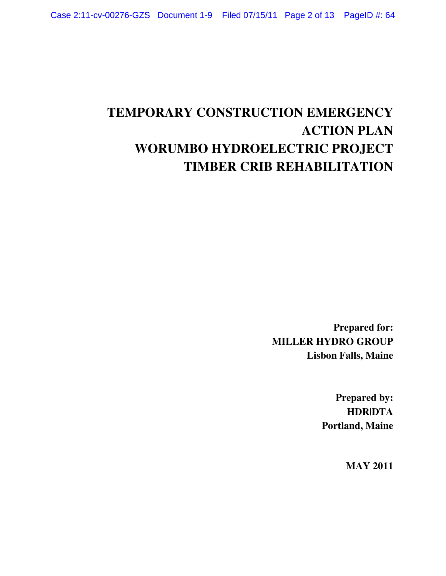# **TEMPORARY CONSTRUCTION EMERGENCY ACTION PLAN WORUMBO HYDROELECTRIC PROJECT TIMBER CRIB REHABILITATION**

**Prepared for: MILLER HYDRO GROUP Lisbon Falls, Maine** 

> **Prepared by: HDR|DTA Portland, Maine**

> > **MAY 2011**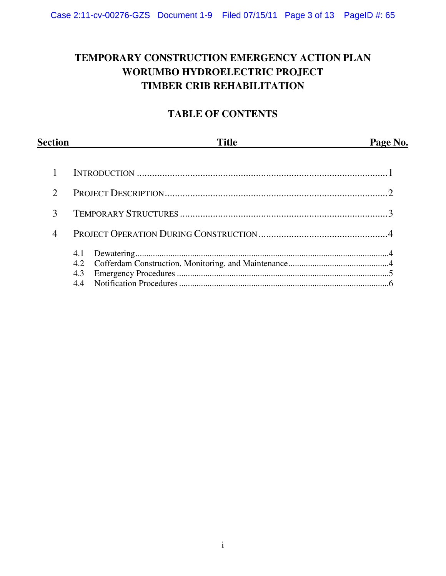## **TEMPORARY CONSTRUCTION EMERGENCY ACTION PLAN WORUMBO HYDROELECTRIC PROJECT TIMBER CRIB REHABILITATION**

### **TABLE OF CONTENTS**

| <b>Section</b> | <b>Title</b>      | Page No. |
|----------------|-------------------|----------|
|                |                   |          |
| ∍              |                   |          |
| 3              |                   |          |
| 4              |                   |          |
|                | 4.1<br>4.2<br>4.3 |          |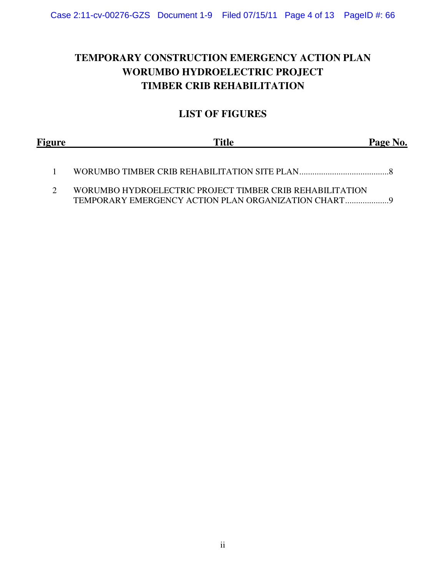## **TEMPORARY CONSTRUCTION EMERGENCY ACTION PLAN WORUMBO HYDROELECTRIC PROJECT TIMBER CRIB REHABILITATION**

#### **LIST OF FIGURES**

| Figure | <b>Title</b>                                             | Page No. |
|--------|----------------------------------------------------------|----------|
|        |                                                          |          |
|        | WORUMBO HYDROELECTRIC PROJECT TIMBER CRIB REHABILITATION |          |

TEMPORARY EMERGENCY ACTION PLAN ORGANIZATION CHART ....................9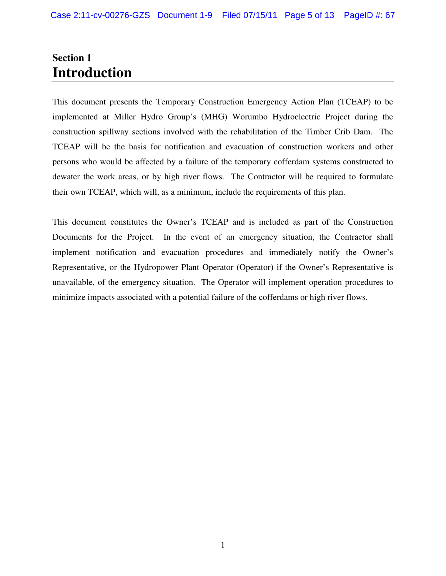## **Section 1 Introduction**

This document presents the Temporary Construction Emergency Action Plan (TCEAP) to be implemented at Miller Hydro Group's (MHG) Worumbo Hydroelectric Project during the construction spillway sections involved with the rehabilitation of the Timber Crib Dam. The TCEAP will be the basis for notification and evacuation of construction workers and other persons who would be affected by a failure of the temporary cofferdam systems constructed to dewater the work areas, or by high river flows. The Contractor will be required to formulate their own TCEAP, which will, as a minimum, include the requirements of this plan.

This document constitutes the Owner's TCEAP and is included as part of the Construction Documents for the Project. In the event of an emergency situation, the Contractor shall implement notification and evacuation procedures and immediately notify the Owner's Representative, or the Hydropower Plant Operator (Operator) if the Owner's Representative is unavailable, of the emergency situation. The Operator will implement operation procedures to minimize impacts associated with a potential failure of the cofferdams or high river flows.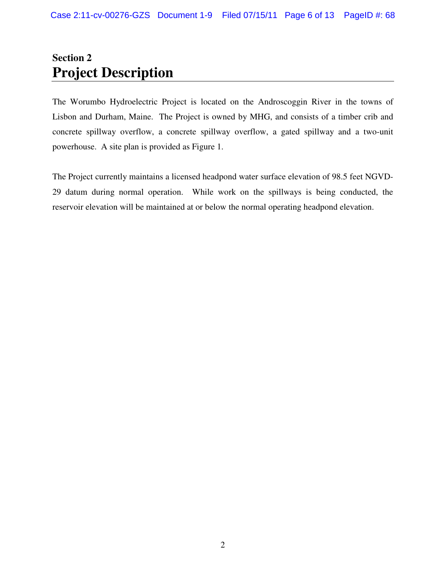## **Section 2 Project Description**

The Worumbo Hydroelectric Project is located on the Androscoggin River in the towns of Lisbon and Durham, Maine. The Project is owned by MHG, and consists of a timber crib and concrete spillway overflow, a concrete spillway overflow, a gated spillway and a two-unit powerhouse. A site plan is provided as Figure 1.

The Project currently maintains a licensed headpond water surface elevation of 98.5 feet NGVD-29 datum during normal operation. While work on the spillways is being conducted, the reservoir elevation will be maintained at or below the normal operating headpond elevation.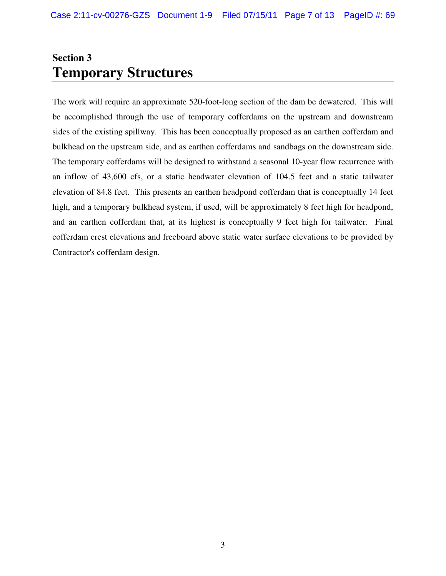# **Section 3 Temporary Structures**

The work will require an approximate 520-foot-long section of the dam be dewatered. This will be accomplished through the use of temporary cofferdams on the upstream and downstream sides of the existing spillway. This has been conceptually proposed as an earthen cofferdam and bulkhead on the upstream side, and as earthen cofferdams and sandbags on the downstream side. The temporary cofferdams will be designed to withstand a seasonal 10-year flow recurrence with an inflow of 43,600 cfs, or a static headwater elevation of 104.5 feet and a static tailwater elevation of 84.8 feet. This presents an earthen headpond cofferdam that is conceptually 14 feet high, and a temporary bulkhead system, if used, will be approximately 8 feet high for headpond, and an earthen cofferdam that, at its highest is conceptually 9 feet high for tailwater. Final cofferdam crest elevations and freeboard above static water surface elevations to be provided by Contractor's cofferdam design.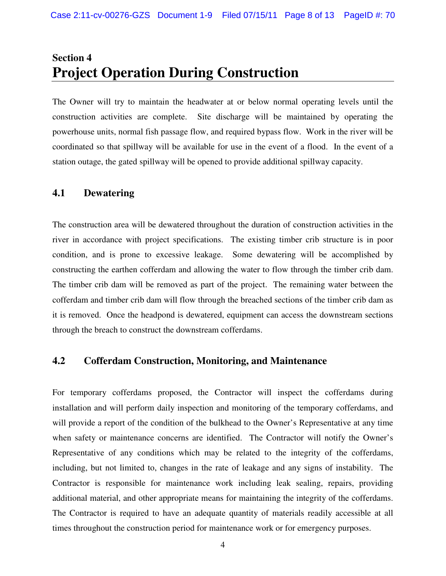## **Section 4 Project Operation During Construction**

The Owner will try to maintain the headwater at or below normal operating levels until the construction activities are complete. Site discharge will be maintained by operating the powerhouse units, normal fish passage flow, and required bypass flow. Work in the river will be coordinated so that spillway will be available for use in the event of a flood. In the event of a station outage, the gated spillway will be opened to provide additional spillway capacity.

#### **4.1 Dewatering**

The construction area will be dewatered throughout the duration of construction activities in the river in accordance with project specifications. The existing timber crib structure is in poor condition, and is prone to excessive leakage. Some dewatering will be accomplished by constructing the earthen cofferdam and allowing the water to flow through the timber crib dam. The timber crib dam will be removed as part of the project. The remaining water between the cofferdam and timber crib dam will flow through the breached sections of the timber crib dam as it is removed. Once the headpond is dewatered, equipment can access the downstream sections through the breach to construct the downstream cofferdams.

#### **4.2 Cofferdam Construction, Monitoring, and Maintenance**

For temporary cofferdams proposed, the Contractor will inspect the cofferdams during installation and will perform daily inspection and monitoring of the temporary cofferdams, and will provide a report of the condition of the bulkhead to the Owner's Representative at any time when safety or maintenance concerns are identified. The Contractor will notify the Owner's Representative of any conditions which may be related to the integrity of the cofferdams, including, but not limited to, changes in the rate of leakage and any signs of instability. The Contractor is responsible for maintenance work including leak sealing, repairs, providing additional material, and other appropriate means for maintaining the integrity of the cofferdams. The Contractor is required to have an adequate quantity of materials readily accessible at all times throughout the construction period for maintenance work or for emergency purposes.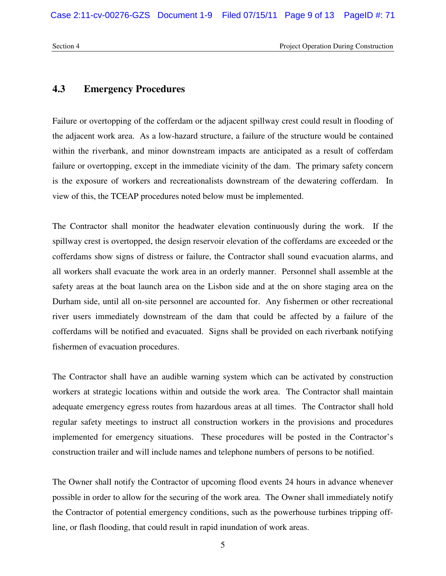#### **4.3 Emergency Procedures**

Failure or overtopping of the cofferdam or the adjacent spillway crest could result in flooding of the adjacent work area. As a low-hazard structure, a failure of the structure would be contained within the riverbank, and minor downstream impacts are anticipated as a result of cofferdam failure or overtopping, except in the immediate vicinity of the dam. The primary safety concern is the exposure of workers and recreationalists downstream of the dewatering cofferdam. In view of this, the TCEAP procedures noted below must be implemented.

The Contractor shall monitor the headwater elevation continuously during the work. If the spillway crest is overtopped, the design reservoir elevation of the cofferdams are exceeded or the cofferdams show signs of distress or failure, the Contractor shall sound evacuation alarms, and all workers shall evacuate the work area in an orderly manner. Personnel shall assemble at the safety areas at the boat launch area on the Lisbon side and at the on shore staging area on the Durham side, until all on-site personnel are accounted for. Any fishermen or other recreational river users immediately downstream of the dam that could be affected by a failure of the cofferdams will be notified and evacuated. Signs shall be provided on each riverbank notifying fishermen of evacuation procedures.

The Contractor shall have an audible warning system which can be activated by construction workers at strategic locations within and outside the work area. The Contractor shall maintain adequate emergency egress routes from hazardous areas at all times. The Contractor shall hold regular safety meetings to instruct all construction workers in the provisions and procedures implemented for emergency situations. These procedures will be posted in the Contractor's construction trailer and will include names and telephone numbers of persons to be notified.

The Owner shall notify the Contractor of upcoming flood events 24 hours in advance whenever possible in order to allow for the securing of the work area. The Owner shall immediately notify the Contractor of potential emergency conditions, such as the powerhouse turbines tripping offline, or flash flooding, that could result in rapid inundation of work areas.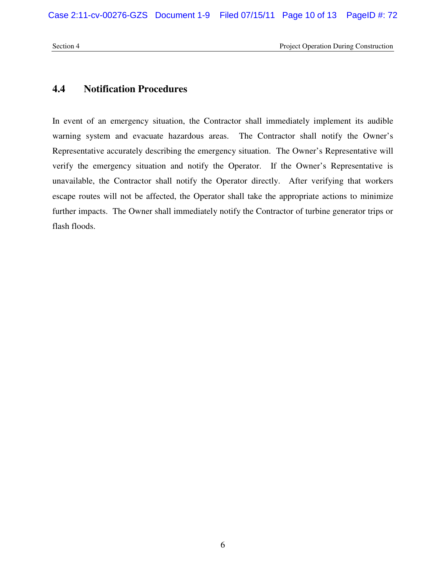Section 4 Project Operation During Construction

#### **4.4 Notification Procedures**

In event of an emergency situation, the Contractor shall immediately implement its audible warning system and evacuate hazardous areas. The Contractor shall notify the Owner's Representative accurately describing the emergency situation. The Owner's Representative will verify the emergency situation and notify the Operator. If the Owner's Representative is unavailable, the Contractor shall notify the Operator directly. After verifying that workers escape routes will not be affected, the Operator shall take the appropriate actions to minimize further impacts. The Owner shall immediately notify the Contractor of turbine generator trips or flash floods.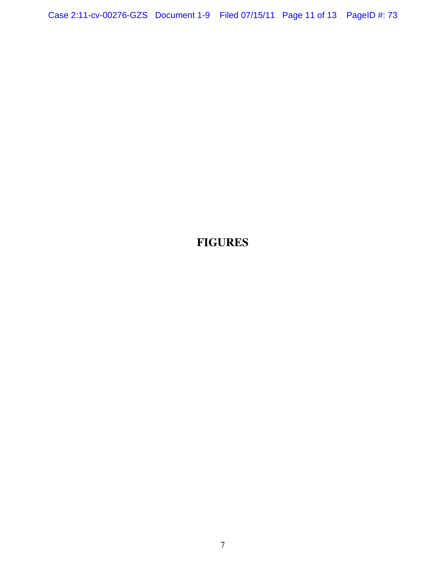## **FIGURES**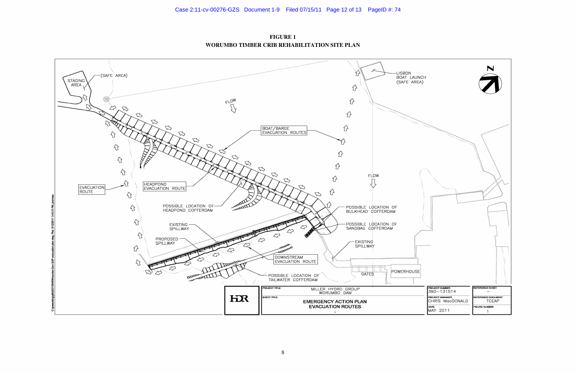

**FIGURE 1 WORUMBO TIMBER CRIB REHABILITATION SITE PLAN**